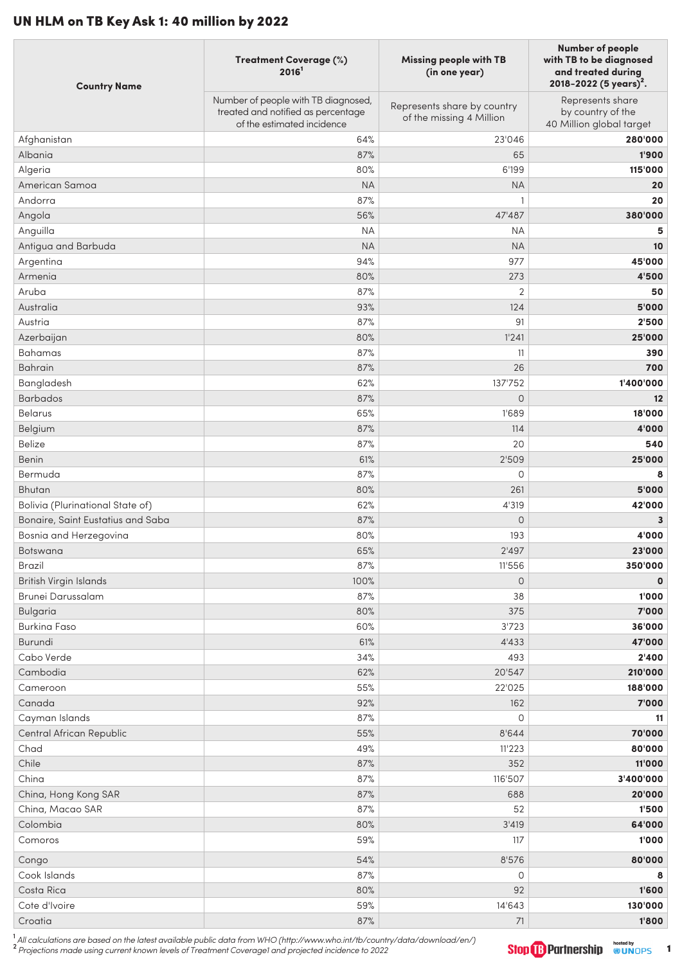## UN HLM on TB Key Ask 1: 40 million by 2022

| <b>Country Name</b>                         | Treatment Coverage (%)<br>2016 <sup>1</sup>                                                             | <b>Missing people with TB</b><br>(in one year)          | <b>Number of people</b><br>with TB to be diagnosed<br>and treated during<br>2018-2022 (5 years) <sup>2</sup> . |
|---------------------------------------------|---------------------------------------------------------------------------------------------------------|---------------------------------------------------------|----------------------------------------------------------------------------------------------------------------|
|                                             | Number of people with TB diagnosed,<br>treated and notified as percentage<br>of the estimated incidence | Represents share by country<br>of the missing 4 Million | Represents share<br>by country of the<br>40 Million global target                                              |
| Afghanistan                                 | 64%                                                                                                     | 23'046                                                  | 280'000                                                                                                        |
| Albania                                     | 87%                                                                                                     | 65                                                      | 1'900                                                                                                          |
| Algeria                                     | 80%                                                                                                     | 6'199                                                   | 115'000                                                                                                        |
| American Samoa                              | <b>NA</b>                                                                                               | <b>NA</b>                                               | 20                                                                                                             |
| Andorra                                     | 87%                                                                                                     | 1                                                       | 20                                                                                                             |
| Angola                                      | 56%                                                                                                     | 47'487                                                  | 380'000                                                                                                        |
| Anguilla                                    | <b>NA</b>                                                                                               | <b>NA</b>                                               | 5                                                                                                              |
| Antigua and Barbuda                         | <b>NA</b>                                                                                               | <b>NA</b>                                               | 10                                                                                                             |
| Argentina                                   | 94%                                                                                                     | 977                                                     | 45'000                                                                                                         |
| Armenia                                     | 80%                                                                                                     | 273                                                     | 4'500                                                                                                          |
| Aruba                                       | 87%                                                                                                     | $\overline{2}$                                          | 50                                                                                                             |
| Australia                                   | 93%                                                                                                     | 124                                                     | 5'000                                                                                                          |
| Austria                                     | 87%                                                                                                     | 91                                                      | 2'500                                                                                                          |
| Azerbaijan                                  | 80%                                                                                                     | 1'241                                                   | 25'000                                                                                                         |
| Bahamas                                     | 87%                                                                                                     | 11                                                      | 390                                                                                                            |
| <b>Bahrain</b>                              | 87%                                                                                                     | 26                                                      | 700                                                                                                            |
| Bangladesh                                  | 62%                                                                                                     | 137'752                                                 | 1'400'000                                                                                                      |
| <b>Barbados</b>                             | 87%                                                                                                     | $\mathsf O$                                             | 12                                                                                                             |
| <b>Belarus</b>                              | 65%                                                                                                     | 1'689                                                   | 18'000                                                                                                         |
| Belgium                                     | 87%                                                                                                     | 114                                                     | 4'000                                                                                                          |
| <b>Belize</b>                               | 87%                                                                                                     | 20                                                      | 540                                                                                                            |
| Benin                                       | 61%                                                                                                     | 2'509                                                   | 25'000                                                                                                         |
| Bermuda                                     | 87%                                                                                                     | $\circ$                                                 | 8                                                                                                              |
| Bhutan                                      | 80%                                                                                                     | 261                                                     | 5'000                                                                                                          |
| Bolivia (Plurinational State of)            | 62%                                                                                                     | 4'319                                                   | 42'000                                                                                                         |
| Bonaire, Saint Eustatius and Saba           | 87%                                                                                                     | $\circ$                                                 | 3                                                                                                              |
| Bosnia and Herzegovina                      | 80%                                                                                                     | 193                                                     | 4'000                                                                                                          |
| <b>Botswana</b>                             | 65%                                                                                                     | 2'497                                                   | 23'000                                                                                                         |
| <b>Brazil</b>                               | 87%                                                                                                     | 11'556                                                  | 350'000                                                                                                        |
| British Virgin Islands<br>Brunei Darussalam | 100%<br>87%                                                                                             | $\mathsf O$<br>38                                       | $\mathbf 0$<br>1'000                                                                                           |
| <b>Bulgaria</b>                             | 80%                                                                                                     | 375                                                     | 7'000                                                                                                          |
| <b>Burkina Faso</b>                         | 60%                                                                                                     | 3'723                                                   | 36'000                                                                                                         |
| Burundi                                     | 61%                                                                                                     | 4'433                                                   | 47'000                                                                                                         |
| Cabo Verde                                  | 34%                                                                                                     | 493                                                     | 2'400                                                                                                          |
| Cambodia                                    | 62%                                                                                                     | 20'547                                                  | 210'000                                                                                                        |
| Cameroon                                    | 55%                                                                                                     | 22'025                                                  | 188'000                                                                                                        |
| Canada                                      | 92%                                                                                                     | 162                                                     | 7'000                                                                                                          |
| Cayman Islands                              | 87%                                                                                                     | $\circ$                                                 | 11                                                                                                             |
| Central African Republic                    | 55%                                                                                                     | 8'644                                                   | 70'000                                                                                                         |
| Chad                                        | 49%                                                                                                     | 11'223                                                  | 80'000                                                                                                         |
| Chile                                       | 87%                                                                                                     | 352                                                     | 11'000                                                                                                         |
| China                                       | 87%                                                                                                     | 116'507                                                 | 3'400'000                                                                                                      |
| China, Hong Kong SAR                        | 87%                                                                                                     | 688                                                     | 20'000                                                                                                         |
| China, Macao SAR                            | 87%                                                                                                     | 52                                                      | 1'500                                                                                                          |
| Colombia                                    | 80%                                                                                                     | 3'419                                                   | 64'000                                                                                                         |
| Comoros                                     | 59%                                                                                                     | 117                                                     | 1'000                                                                                                          |
| Congo                                       | 54%                                                                                                     | 8'576                                                   | 80'000                                                                                                         |
| Cook Islands                                | 87%                                                                                                     | 0                                                       | 8                                                                                                              |
| Costa Rica                                  | 80%                                                                                                     | 92                                                      | 1'600                                                                                                          |
| Cote d'Ivoire                               | 59%                                                                                                     | 14'643                                                  | 130'000                                                                                                        |
| Croatia                                     | 87%                                                                                                     | 71                                                      | 1'800                                                                                                          |

1<br>All calculations are based on the latest available public data from WHO (http://www.who.int/tb/country/data/download/en/)<br><sup>2</sup> Projections made using current known levels of Treatment Coverage1 and projected incidence to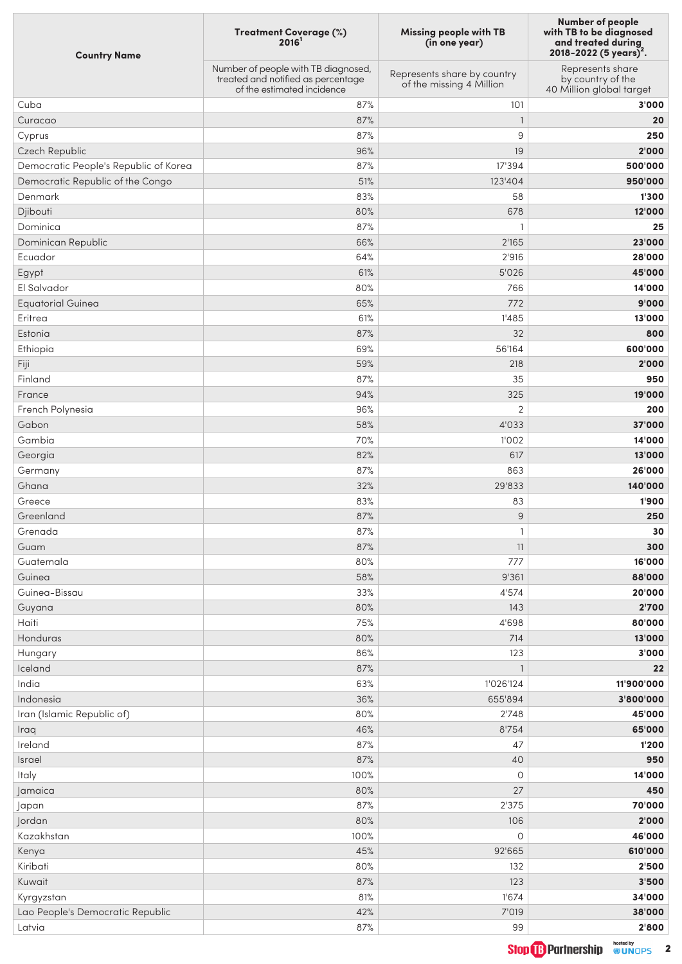| <b>Country Name</b>                   | Treatment Coverage (%)<br>2016 <sup>1</sup>                                                             | <b>Missing people with TB</b><br>(in one year)          | <b>Number of people</b><br>with TB to be diagnosed<br>and treated during<br>2018-2022 (5 years) <sup>2</sup> . |
|---------------------------------------|---------------------------------------------------------------------------------------------------------|---------------------------------------------------------|----------------------------------------------------------------------------------------------------------------|
|                                       | Number of people with TB diagnosed,<br>treated and notified as percentage<br>of the estimated incidence | Represents share by country<br>of the missing 4 Million | Represents share<br>by country of the<br>40 Million global target                                              |
| Cuba                                  | 87%                                                                                                     | 101                                                     | 3'000                                                                                                          |
| Curacao                               | 87%                                                                                                     | $\mathbf{1}$                                            | 20                                                                                                             |
| Cyprus                                | 87%                                                                                                     | 9                                                       | 250                                                                                                            |
| Czech Republic                        | 96%                                                                                                     | 19                                                      | 2'000                                                                                                          |
| Democratic People's Republic of Korea | 87%                                                                                                     | 17'394                                                  | 500'000                                                                                                        |
| Democratic Republic of the Congo      | 51%                                                                                                     | 123'404                                                 | 950'000                                                                                                        |
| Denmark                               | 83%                                                                                                     | 58                                                      | 1'300                                                                                                          |
| Djibouti                              | 80%                                                                                                     | 678                                                     | 12'000                                                                                                         |
| Dominica                              | 87%                                                                                                     | 1                                                       | 25                                                                                                             |
| Dominican Republic                    | 66%                                                                                                     | 2'165                                                   | 23'000                                                                                                         |
| Ecuador                               | 64%                                                                                                     | 2'916                                                   | 28'000                                                                                                         |
| Egypt                                 | 61%                                                                                                     | 5'026                                                   | 45'000                                                                                                         |
| El Salvador                           | 80%                                                                                                     | 766                                                     | 14'000                                                                                                         |
| <b>Equatorial Guinea</b>              | 65%                                                                                                     | 772                                                     | 9'000                                                                                                          |
| Eritrea                               | 61%                                                                                                     | 1'485                                                   | 13'000                                                                                                         |
| Estonia                               | 87%                                                                                                     | 32                                                      | 800                                                                                                            |
| Ethiopia                              | 69%                                                                                                     | 56'164                                                  | 600'000                                                                                                        |
| Fiji                                  | 59%                                                                                                     | 218                                                     | 2'000                                                                                                          |
| Finland                               | 87%                                                                                                     | 35                                                      | 950                                                                                                            |
| France                                | 94%                                                                                                     | 325                                                     | 19'000                                                                                                         |
| French Polynesia                      | 96%                                                                                                     | $\overline{2}$                                          | 200                                                                                                            |
| Gabon                                 | 58%                                                                                                     | 4'033                                                   | 37'000                                                                                                         |
| Gambia                                |                                                                                                         |                                                         |                                                                                                                |
|                                       | 70%                                                                                                     | 1'002                                                   | 14'000                                                                                                         |
| Georgia                               | 82%<br>87%                                                                                              | 617<br>863                                              | 13'000<br>26'000                                                                                               |
| Germany                               |                                                                                                         | 29'833                                                  |                                                                                                                |
| Ghana                                 | 32%                                                                                                     |                                                         | 140'000                                                                                                        |
| Greece                                | 83%                                                                                                     | 83                                                      | 1'900                                                                                                          |
| Greenland                             | 87%                                                                                                     | 9                                                       | 250                                                                                                            |
| Grenada                               | 87%                                                                                                     | 1                                                       | 30                                                                                                             |
| Guam                                  | 87%                                                                                                     | 11                                                      | 300                                                                                                            |
| Guatemala                             | 80%                                                                                                     | 777                                                     | 16'000                                                                                                         |
| Guinea                                | 58%                                                                                                     | 9'361                                                   | 88'000                                                                                                         |
| Guinea-Bissau                         | 33%                                                                                                     | 4'574                                                   | 20'000                                                                                                         |
| Guyana                                | 80%                                                                                                     | 143                                                     | 2'700                                                                                                          |
| Haiti                                 | 75%                                                                                                     | 4'698                                                   | 80'000                                                                                                         |
| Honduras                              | 80%                                                                                                     | 714                                                     | 13'000                                                                                                         |
| Hungary                               | 86%                                                                                                     | 123                                                     | 3'000                                                                                                          |
| Iceland                               | 87%                                                                                                     | $\mathbf{1}$                                            | 22                                                                                                             |
| India                                 | 63%                                                                                                     | 1'026'124                                               | 11'900'000                                                                                                     |
| Indonesia                             | 36%                                                                                                     | 655'894                                                 | 3'800'000                                                                                                      |
| Iran (Islamic Republic of)            | 80%                                                                                                     | 2'748                                                   | 45'000                                                                                                         |
| Iraq                                  | 46%                                                                                                     | 8'754                                                   | 65'000                                                                                                         |
| Ireland                               | 87%                                                                                                     | 47                                                      | 1'200                                                                                                          |
| Israel                                | 87%                                                                                                     | 40                                                      | 950                                                                                                            |
| Italy                                 | 100%                                                                                                    | $\circ$                                                 | 14'000                                                                                                         |
| Jamaica                               | 80%                                                                                                     | 27                                                      | 450                                                                                                            |
| Japan                                 | 87%                                                                                                     | 2'375                                                   | 70'000                                                                                                         |
| Jordan                                | 80%                                                                                                     | 106                                                     | 2'000                                                                                                          |
| Kazakhstan                            | 100%                                                                                                    | 0                                                       | 46'000                                                                                                         |
| Kenya                                 | 45%                                                                                                     | 92'665                                                  | 610'000                                                                                                        |
| Kiribati                              | 80%                                                                                                     | 132                                                     | 2'500                                                                                                          |
| Kuwait                                | 87%                                                                                                     | 123                                                     | 3'500                                                                                                          |
| Kyrgyzstan                            | 81%                                                                                                     | 1'674                                                   | 34'000                                                                                                         |
| Lao People's Democratic Republic      | 42%                                                                                                     | 7'019                                                   | 38'000                                                                                                         |
| Latvia                                | 87%                                                                                                     | 99                                                      | 2'800                                                                                                          |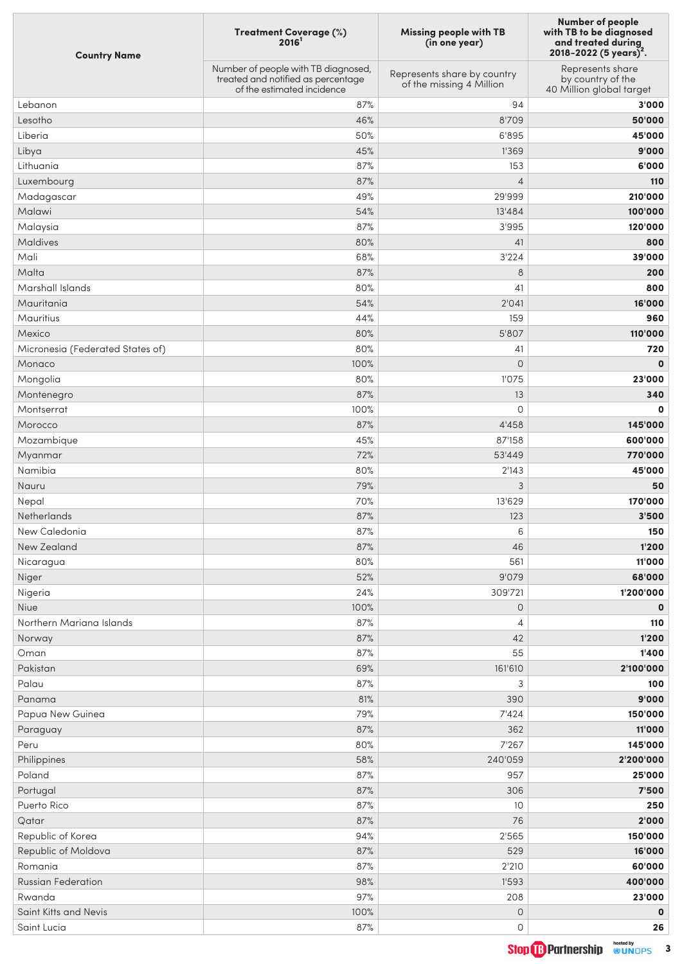| <b>Country Name</b>              | Treatment Coverage (%)<br>2016 <sup>1</sup>                                                             | <b>Missing people with TB</b><br>(in one year)          | <b>Number of people</b><br>with TB to be diagnosed<br>and treated during<br>2018-2022 (5 years) <sup>2</sup> . |
|----------------------------------|---------------------------------------------------------------------------------------------------------|---------------------------------------------------------|----------------------------------------------------------------------------------------------------------------|
|                                  | Number of people with TB diagnosed,<br>treated and notified as percentage<br>of the estimated incidence | Represents share by country<br>of the missing 4 Million | Represents share<br>by country of the<br>40 Million global target                                              |
| Lebanon                          | 87%                                                                                                     | 94                                                      | 3'000                                                                                                          |
| Lesotho                          | 46%                                                                                                     | 8'709                                                   | 50'000                                                                                                         |
| Liberia                          | 50%                                                                                                     | 6'895                                                   | 45'000                                                                                                         |
| Libya                            | 45%                                                                                                     | 1'369                                                   | 9'000                                                                                                          |
| Lithuania                        | 87%                                                                                                     | 153                                                     | 6'000                                                                                                          |
| Luxembourg                       | 87%                                                                                                     | $\overline{4}$                                          | 110                                                                                                            |
| Madagascar                       | 49%                                                                                                     | 29'999                                                  | 210'000                                                                                                        |
| Malawi                           | 54%                                                                                                     | 13'484                                                  | 100'000                                                                                                        |
| Malaysia                         | 87%                                                                                                     | 3'995                                                   | 120'000                                                                                                        |
| Maldives                         | 80%                                                                                                     | 41                                                      | 800                                                                                                            |
| Mali                             | 68%                                                                                                     | 3'224                                                   | 39'000                                                                                                         |
| Malta                            | 87%                                                                                                     | 8                                                       | 200                                                                                                            |
| Marshall Islands                 | 80%                                                                                                     | 41                                                      | 800                                                                                                            |
| Mauritania                       | 54%                                                                                                     | 2'041                                                   | 16'000                                                                                                         |
| <b>Mauritius</b>                 | 44%                                                                                                     | 159                                                     | 960                                                                                                            |
| Mexico                           | 80%                                                                                                     | 5'807                                                   | 110'000                                                                                                        |
| Micronesia (Federated States of) | 80%                                                                                                     | 41                                                      | 720                                                                                                            |
| Monaco                           | 100%                                                                                                    | $\mathsf{O}\xspace$                                     | $\mathbf 0$                                                                                                    |
| Mongolia                         | 80%                                                                                                     | 1'075                                                   | 23'000                                                                                                         |
| Montenegro                       | 87%                                                                                                     | 13                                                      | 340                                                                                                            |
| Montserrat                       | 100%                                                                                                    | 0                                                       | $\mathbf 0$                                                                                                    |
| Morocco                          | 87%                                                                                                     | 4'458                                                   | 145'000                                                                                                        |
| Mozambique                       | 45%                                                                                                     | 87'158                                                  | 600'000                                                                                                        |
| Myanmar                          | 72%                                                                                                     | 53'449                                                  | 770'000                                                                                                        |
| Namibia                          | 80%                                                                                                     | 2'143                                                   | 45'000                                                                                                         |
| Nauru                            | 79%                                                                                                     | 3                                                       | 50                                                                                                             |
| Nepal                            | 70%                                                                                                     | 13'629                                                  | 170'000                                                                                                        |
| Netherlands                      | 87%                                                                                                     | 123                                                     | 3'500                                                                                                          |
| New Caledonia                    | 87%                                                                                                     | 6                                                       | 150                                                                                                            |
| New Zealand                      | 87%                                                                                                     | 46                                                      | 1'200                                                                                                          |
| Nicaragua                        | 80%                                                                                                     | 561                                                     | 11'000                                                                                                         |
| Niger                            | 52%                                                                                                     | 9'079                                                   | 68'000                                                                                                         |
| Nigeria                          | 24%                                                                                                     | 309'721                                                 | 1'200'000                                                                                                      |
| Niue                             | 100%                                                                                                    | $\mathsf{O}\xspace$                                     | $\mathbf 0$                                                                                                    |
| Northern Mariana Islands         | 87%                                                                                                     | 4                                                       | 110                                                                                                            |
| Norway                           | 87%                                                                                                     | 42                                                      | 1'200                                                                                                          |
| Oman                             | 87%                                                                                                     | 55                                                      | 1'400                                                                                                          |
| Pakistan                         | 69%                                                                                                     | 161'610                                                 | 2'100'000                                                                                                      |
| Palau                            | 87%                                                                                                     | 3                                                       | 100                                                                                                            |
| Panama                           | 81%                                                                                                     | 390                                                     | 9'000                                                                                                          |
| Papua New Guinea                 | 79%                                                                                                     | 7'424                                                   | 150'000                                                                                                        |
| Paraguay                         | 87%                                                                                                     | 362                                                     | 11'000                                                                                                         |
| Peru                             | 80%                                                                                                     | 7'267                                                   | 145'000                                                                                                        |
| Philippines                      | 58%                                                                                                     | 240'059                                                 | 2'200'000                                                                                                      |
| Poland                           | 87%                                                                                                     | 957                                                     | 25'000                                                                                                         |
| Portugal                         | 87%                                                                                                     | 306                                                     | 7'500                                                                                                          |
| Puerto Rico                      | 87%                                                                                                     | 10                                                      | 250                                                                                                            |
| Qatar                            | 87%                                                                                                     | 76                                                      | 2'000                                                                                                          |
| Republic of Korea                | 94%                                                                                                     | 2'565                                                   | 150'000                                                                                                        |
| Republic of Moldova              | 87%                                                                                                     | 529                                                     | 16'000                                                                                                         |
| Romania                          | 87%                                                                                                     | 2'210                                                   | 60'000                                                                                                         |
| <b>Russian Federation</b>        | 98%                                                                                                     | 1'593                                                   | 400'000                                                                                                        |
| Rwanda                           | 97%                                                                                                     | 208                                                     | 23'000                                                                                                         |
| Saint Kitts and Nevis            | 100%                                                                                                    | $\mathsf{O}\xspace$                                     | $\mathbf 0$                                                                                                    |
| Saint Lucia                      | 87%                                                                                                     | 0                                                       | 26                                                                                                             |